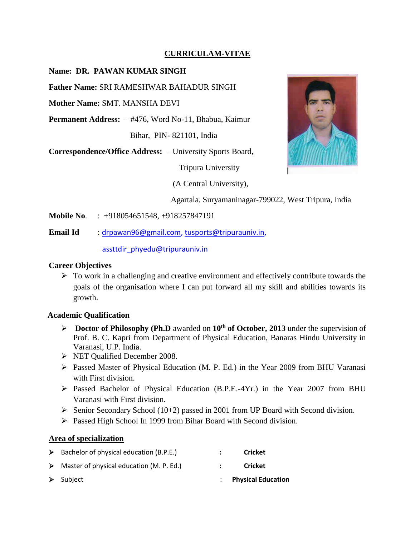### **CURRICULAM-VITAE**

## **Name: DR. PAWAN KUMAR SINGH**

**Father Name:** SRI RAMESHWAR BAHADUR SINGH

**Mother Name:** SMT. MANSHA DEVI

**Permanent Address:** – #476, Word No-11, Bhabua, Kaimur

Bihar, PIN- 821101, India

**Correspondence/Office Address:** – University Sports Board,

Tripura University

(A Central University),



Agartala, Suryamaninagar-799022, West Tripura, India

- **Mobile No**. : +918054651548, +918257847191
- **Email Id** : [drpawan96@gmail.com,](mailto:drpawan96@gmail.com) [tusports@tripurauniv.in,](mailto:tusports@tripurauniv.in)

#### assttdir\_phyedu@tripurauniv.in

### **Career Objectives**

 $\triangleright$  To work in a challenging and creative environment and effectively contribute towards the goals of the organisation where I can put forward all my skill and abilities towards its growth.

#### **Academic Qualification**

- **Doctor of Philosophy (Ph.D** awarded on **10th of October, 2013** under the supervision of Prof. B. C. Kapri from Department of Physical Education, Banaras Hindu University in Varanasi, U.P. India.
- NET Qualified December 2008.
- Passed Master of Physical Education (M. P. Ed.) in the Year 2009 from BHU Varanasi with First division.
- Passed Bachelor of Physical Education (B.P.E.-4Yr.) in the Year 2007 from BHU Varanasi with First division.
- $\triangleright$  Senior Secondary School (10+2) passed in 2001 from UP Board with Second division.
- Passed High School In 1999 from Bihar Board with Second division.

#### **Area of specialization**

| $\triangleright$ Bachelor of physical education (B.P.E.)  | <b>Cricket</b>            |
|-----------------------------------------------------------|---------------------------|
| $\triangleright$ Master of physical education (M. P. Ed.) | <b>Cricket</b>            |
| $\triangleright$ Subject                                  | <b>Physical Education</b> |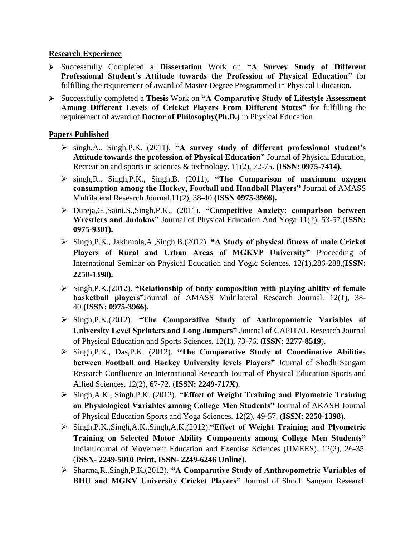### **Research Experience**

- Successfully Completed a **Dissertation** Work on **"A Survey Study of Different Professional Student's Attitude towards the Profession of Physical Education"** for fulfilling the requirement of award of Master Degree Programmed in Physical Education.
- Successfully completed a **Thesis** Work on **"A Comparative Study of Lifestyle Assessment Among Different Levels of Cricket Players From Different States"** for fulfilling the requirement of award of **Doctor of Philosophy(Ph.D.)** in Physical Education

## **Papers Published**

- singh,A., Singh,P.K. (2011). **"A survey study of different professional student's Attitude towards the profession of Physical Education"** Journal of Physical Education, Recreation and sports in sciences & technology. 11(2), 72-75. **(ISSN: 0975-7414).**
- singh,R., Singh,P.K., Singh,B. (2011). **"The Comparison of maximum oxygen consumption among the Hockey, Football and Handball Players"** Journal of AMASS Multilateral Research Journal.11(2), 38-40.**(ISSN 0975-3966).**
- Dureja,G.,Saini,S.,Singh,P.K., (2011). **"Competitive Anxiety: comparison between Wrestlers and Judokas"** Journal of Physical Education And Yoga 11(2), 53-57.(**ISSN: 0975-9301).**
- Singh,P.K., Jakhmola,A.,Singh,B.(2012). **"A Study of physical fitness of male Cricket Players of Rural and Urban Areas of MGKVP University"** Proceeding of International Seminar on Physical Education and Yogic Sciences. 12(1),286-288.(**ISSN: 2250-1398).**
- Singh,P.K.(2012). **"Relationship of body composition with playing ability of female basketball players"**Journal of AMASS Multilateral Research Journal. 12(1), 38- 40.**(ISSN: 0975-3966).**
- Singh,P.K.(2012). **"The Comparative Study of Anthropometric Variables of University Level Sprinters and Long Jumpers"** Journal of CAPITAL Research Journal of Physical Education and Sports Sciences. 12(1), 73-76. (**ISSN: 2277-8519**).
- Singh,P.K., Das,P.K. (2012). **"The Comparative Study of Coordinative Abilities between Football and Hockey University levels Players"** Journal of Shodh Sangam Research Confluence an International Research Journal of Physical Education Sports and Allied Sciences. 12(2), 67-72. (**ISSN: 2249-717X**).
- Singh,A.K., Singh,P.K. (2012). **"Effect of Weight Training and Plyometric Training on Physiological Variables among College Men Students"** Journal of AKASH Journal of Physical Education Sports and Yoga Sciences. 12(2), 49-57. (**ISSN: 2250-1398**).
- Singh,P.K.,Singh,A.K.,Singh,A.K.(2012).**"Effect of Weight Training and Plyometric Training on Selected Motor Ability Components among College Men Students"**  IndianJournal of Movement Education and Exercise Sciences (IJMEES). 12(2), 26-35. (**ISSN- 2249-5010 Print, ISSN- 2249-6246 Online**).
- Sharma,R.,Singh,P.K.(2012). **"A Comparative Study of Anthropometric Variables of BHU and MGKV University Cricket Players"** Journal of Shodh Sangam Research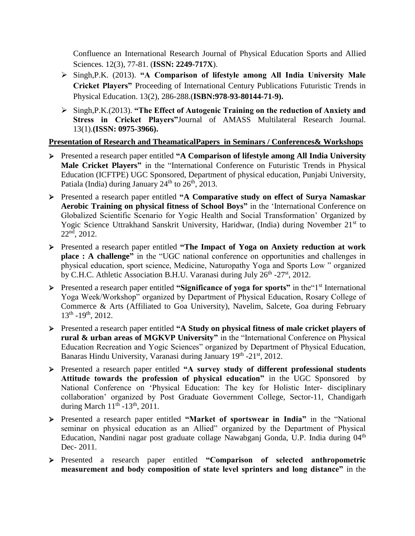Confluence an International Research Journal of Physical Education Sports and Allied Sciences. 12(3), 77-81. (**ISSN: 2249-717X**).

- Singh,P.K. (2013). **"A Comparison of lifestyle among All India University Male Cricket Players"** Proceeding of International Century Publications Futuristic Trends in Physical Education. 13(2), 286-288.(**ISBN:978-93-80144-71-9).**
- Singh,P.K.(2013). **"The Effect of Autogenic Training on the reduction of Anxiety and Stress in Cricket Players"**Journal of AMASS Multilateral Research Journal. 13(1).**(ISSN: 0975-3966).**

## **Presentation of Research and TheamaticalPapers in Seminars / Conferences& Workshops**

- Presented a research paper entitled **"A Comparison of lifestyle among All India University Male Cricket Players"** in the "International Conference on Futuristic Trends in Physical Education (ICFTPE) UGC Sponsored, Department of physical education, Punjabi University, Patiala (India) during January  $24<sup>th</sup>$  to  $26<sup>th</sup>$ ,  $2013$ .
- Presented a research paper entitled **"A Comparative study on effect of Surya Namaskar Aerobic Training on physical fitness of School Boys"** in the 'International Conference on Globalized Scientific Scenario for Yogic Health and Social Transformation' Organized by Yogic Science Uttrakhand Sanskrit University, Haridwar, (India) during November 21<sup>st</sup> to  $22<sup>nd</sup>$ , 2012.
- Presented a research paper entitled **"The Impact of Yoga on Anxiety reduction at work place : A challenge"** in the "UGC national conference on opportunities and challenges in physical education, sport science, Medicine, Naturopathy Yoga and Sports Low " organized by C.H.C. Athletic Association B.H.U. Varanasi during July  $26<sup>th</sup> - 27<sup>st</sup>$ , 2012.
- **Presented a research paper entitled "Significance of yoga for sports"** in the <sup>1st</sup> International Yoga Week/Workshop" organized by Department of Physical Education, Rosary College of Commerce & Arts (Affiliated to Goa University), Navelim, Salcete, Goa during February 13th -19th, 2012.
- Presented a research paper entitled **"A Study on physical fitness of male cricket players of rural & urban areas of MGKVP University"** in the "International Conference on Physical Education Recreation and Yogic Sciences" organized by Department of Physical Education, Banaras Hindu University, Varanasi during January 19<sup>th</sup> -21<sup>st</sup>, 2012.
- Presented a research paper entitled **"A survey study of different professional students Attitude towards the profession of physical education"** in the UGC Sponsored by National Conference on 'Physical Education: The key for Holistic Inter- disciplinary collaboration' organized by Post Graduate Government College, Sector-11, Chandigarh during March  $11<sup>th</sup>$  -13<sup>th</sup>, 2011.
- Presented a research paper entitled **"Market of sportswear in India"** in the "National seminar on physical education as an Allied" organized by the Department of Physical Education, Nandini nagar post graduate collage Nawabganj Gonda, U.P. India during 04<sup>th</sup> Dec- 2011.
- Presented a research paper entitled **"Comparison of selected anthropometric measurement and body composition of state level sprinters and long distance"** in the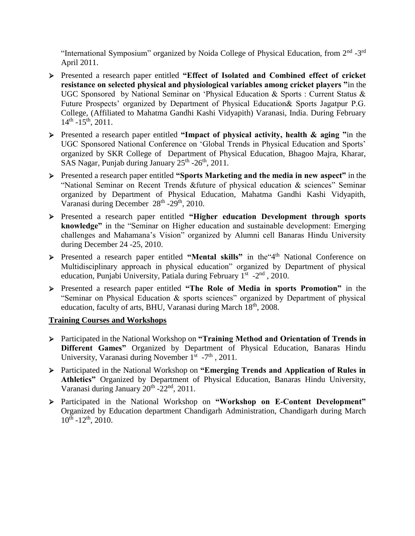"International Symposium" organized by Noida College of Physical Education, from 2<sup>nd</sup> -3<sup>rd</sup> April 2011.

- Presented a research paper entitled **"Effect of Isolated and Combined effect of cricket resistance on selected physical and physiological variables among cricket players "**in the UGC Sponsored by National Seminar on 'Physical Education & Sports : Current Status & Future Prospects' organized by Department of Physical Education& Sports Jagatpur P.G. College, (Affiliated to Mahatma Gandhi Kashi Vidyapith) Varanasi, India. During February  $14<sup>th</sup> - 15<sup>th</sup>$ , 2011.
- Presented a research paper entitled **"Impact of physical activity, health & aging "**in the UGC Sponsored National Conference on 'Global Trends in Physical Education and Sports' organized by SKR College of Department of Physical Education, Bhagoo Majra, Kharar, SAS Nagar, Punjab during January  $25<sup>th</sup>$  -26<sup>th</sup>, 2011.
- Presented a research paper entitled **"Sports Marketing and the media in new aspect"** in the "National Seminar on Recent Trends &future of physical education & sciences" Seminar organized by Department of Physical Education, Mahatma Gandhi Kashi Vidyapith, Varanasi during December 28<sup>th</sup> -29<sup>th</sup>, 2010.
- Presented a research paper entitled **"Higher education Development through sports knowledge"** in the "Seminar on Higher education and sustainable development: Emerging challenges and Mahamana's Vision" organized by Alumni cell Banaras Hindu University during December 24 -25, 2010.
- > Presented a research paper entitled "Mental skills" in the <sup>4th</sup> National Conference on Multidisciplinary approach in physical education" organized by Department of physical education, Punjabi University, Patiala during February 1<sup>st</sup> -2<sup>nd</sup>, 2010.
- Presented a research paper entitled **"The Role of Media in sports Promotion"** in the "Seminar on Physical Education & sports sciences" organized by Department of physical education, faculty of arts, BHU, Varanasi during March  $18<sup>th</sup>$ , 2008.

## **Training Courses and Workshops**

- Participated in the National Workshop on **"Training Method and Orientation of Trends in Different Games"** Organized by Department of Physical Education, Banaras Hindu University, Varanasi during November  $1^{st}$  -7<sup>th</sup>, 2011.
- Participated in the National Workshop on **"Emerging Trends and Application of Rules in Athletics"** Organized by Department of Physical Education, Banaras Hindu University, Varanasi during January  $20^{th}$  - $22^{nd}$ ,  $2011$ .
- Participated in the National Workshop on **"Workshop on E-Content Development"**  Organized by Education department Chandigarh Administration, Chandigarh during March  $10^{th}$  -12<sup>th</sup>, 2010.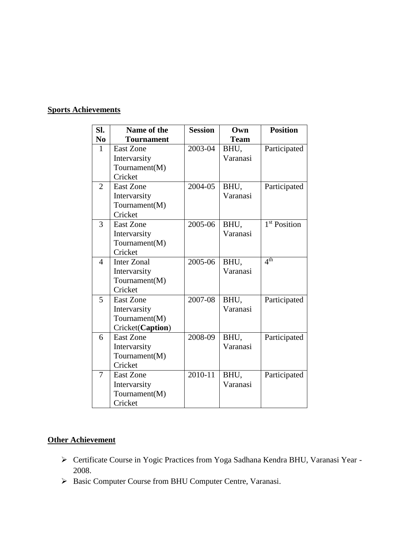# **Sports Achievements**

| SI.            | Name of the        | <b>Session</b> | Own         | <b>Position</b>          |
|----------------|--------------------|----------------|-------------|--------------------------|
| N <sub>0</sub> | <b>Tournament</b>  |                | <b>Team</b> |                          |
| $\mathbf{1}$   | <b>East Zone</b>   | 2003-04        | BHU,        | Participated             |
|                | Intervarsity       |                | Varanasi    |                          |
|                | Tournament(M)      |                |             |                          |
|                | Cricket            |                |             |                          |
| $\overline{2}$ | <b>East Zone</b>   | 2004-05        | BHU,        | Participated             |
|                | Intervarsity       |                | Varanasi    |                          |
|                | Tournament(M)      |                |             |                          |
|                | Cricket            |                |             |                          |
| 3              | <b>East Zone</b>   | 2005-06        | BHU,        | 1 <sup>st</sup> Position |
|                | Intervarsity       |                | Varanasi    |                          |
|                | Tournament(M)      |                |             |                          |
|                | Cricket            |                |             |                          |
| $\overline{4}$ | <b>Inter Zonal</b> | 2005-06        | BHU,        | 4 <sup>th</sup>          |
|                | Intervarsity       |                | Varanasi    |                          |
|                | Tournament(M)      |                |             |                          |
|                | Cricket            |                |             |                          |
| 5              | <b>East Zone</b>   | 2007-08        | BHU,        | Participated             |
|                | Intervarsity       |                | Varanasi    |                          |
|                | Tournament(M)      |                |             |                          |
|                | Cricket(Caption)   |                |             |                          |
| 6              | <b>East Zone</b>   | 2008-09        | BHU,        | Participated             |
|                | Intervarsity       |                | Varanasi    |                          |
|                | Tournament(M)      |                |             |                          |
|                | Cricket            |                |             |                          |
| $\overline{7}$ | <b>East Zone</b>   | 2010-11        | BHU,        | Participated             |
|                | Intervarsity       |                | Varanasi    |                          |
|                | Tournament(M)      |                |             |                          |
|                | Cricket            |                |             |                          |

### **Other Achievement**

- Certificate Course in Yogic Practices from Yoga Sadhana Kendra BHU, Varanasi Year 2008.
- > Basic Computer Course from BHU Computer Centre, Varanasi.